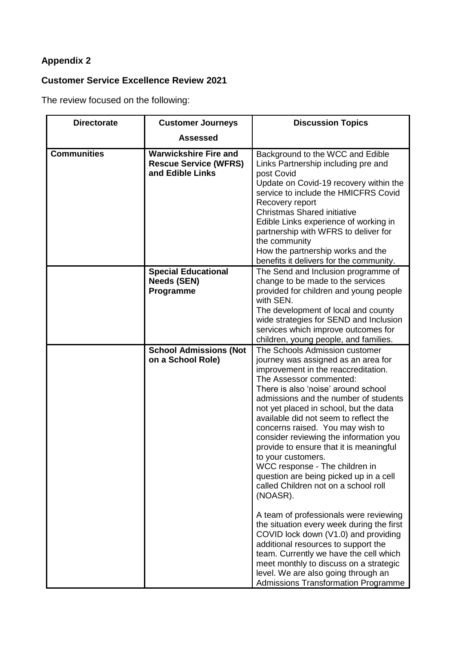## **Appendix 2**

## **Customer Service Excellence Review 2021**

The review focused on the following:

| <b>Directorate</b> | <b>Customer Journeys</b>                                                         | <b>Discussion Topics</b>                                                                                                                                                                                                                                                                                                                                                                                                                                                                                                                                                                                                                                                                                                                                        |
|--------------------|----------------------------------------------------------------------------------|-----------------------------------------------------------------------------------------------------------------------------------------------------------------------------------------------------------------------------------------------------------------------------------------------------------------------------------------------------------------------------------------------------------------------------------------------------------------------------------------------------------------------------------------------------------------------------------------------------------------------------------------------------------------------------------------------------------------------------------------------------------------|
|                    | <b>Assessed</b>                                                                  |                                                                                                                                                                                                                                                                                                                                                                                                                                                                                                                                                                                                                                                                                                                                                                 |
| <b>Communities</b> | <b>Warwickshire Fire and</b><br><b>Rescue Service (WFRS)</b><br>and Edible Links | Background to the WCC and Edible<br>Links Partnership including pre and<br>post Covid<br>Update on Covid-19 recovery within the<br>service to include the HMICFRS Covid<br>Recovery report<br><b>Christmas Shared initiative</b><br>Edible Links experience of working in<br>partnership with WFRS to deliver for<br>the community<br>How the partnership works and the<br>benefits it delivers for the community.                                                                                                                                                                                                                                                                                                                                              |
|                    | <b>Special Educational</b><br><b>Needs (SEN)</b><br>Programme                    | The Send and Inclusion programme of<br>change to be made to the services<br>provided for children and young people<br>with SEN.<br>The development of local and county<br>wide strategies for SEND and Inclusion<br>services which improve outcomes for<br>children, young people, and families.                                                                                                                                                                                                                                                                                                                                                                                                                                                                |
|                    | <b>School Admissions (Not</b><br>on a School Role)                               | The Schools Admission customer<br>journey was assigned as an area for<br>improvement in the reaccreditation.<br>The Assessor commented:<br>There is also 'noise' around school<br>admissions and the number of students<br>not yet placed in school, but the data<br>available did not seem to reflect the<br>concerns raised. You may wish to<br>consider reviewing the information you<br>provide to ensure that it is meaningful<br>to your customers.<br>WCC response - The children in<br>question are being picked up in a cell<br>called Children not on a school roll<br>(NOASR).<br>A team of professionals were reviewing<br>the situation every week during the first<br>COVID lock down (V1.0) and providing<br>additional resources to support the |
|                    |                                                                                  | team. Currently we have the cell which<br>meet monthly to discuss on a strategic<br>level. We are also going through an<br><b>Admissions Transformation Programme</b>                                                                                                                                                                                                                                                                                                                                                                                                                                                                                                                                                                                           |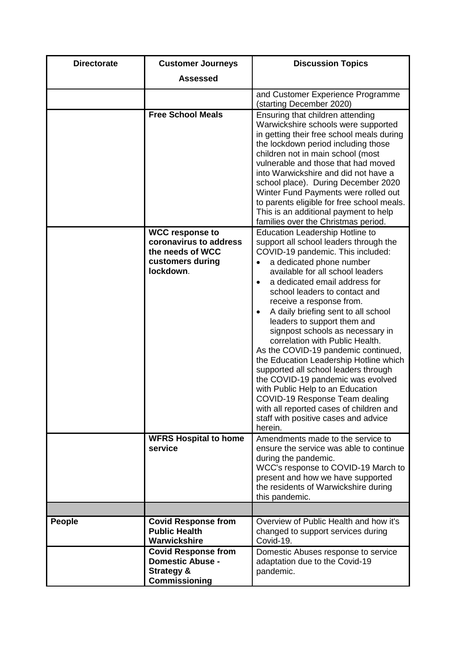| <b>Directorate</b> | <b>Customer Journeys</b>                                                                               | <b>Discussion Topics</b>                                                                                                                                                                                                                                                                                                                                                                                                                                                                                                                                                                                                                                                                                                                                           |
|--------------------|--------------------------------------------------------------------------------------------------------|--------------------------------------------------------------------------------------------------------------------------------------------------------------------------------------------------------------------------------------------------------------------------------------------------------------------------------------------------------------------------------------------------------------------------------------------------------------------------------------------------------------------------------------------------------------------------------------------------------------------------------------------------------------------------------------------------------------------------------------------------------------------|
|                    | <b>Assessed</b>                                                                                        |                                                                                                                                                                                                                                                                                                                                                                                                                                                                                                                                                                                                                                                                                                                                                                    |
|                    |                                                                                                        | and Customer Experience Programme<br>(starting December 2020)                                                                                                                                                                                                                                                                                                                                                                                                                                                                                                                                                                                                                                                                                                      |
|                    | <b>Free School Meals</b>                                                                               | Ensuring that children attending<br>Warwickshire schools were supported<br>in getting their free school meals during<br>the lockdown period including those<br>children not in main school (most<br>vulnerable and those that had moved<br>into Warwickshire and did not have a<br>school place). During December 2020<br>Winter Fund Payments were rolled out<br>to parents eligible for free school meals.<br>This is an additional payment to help<br>families over the Christmas period.                                                                                                                                                                                                                                                                       |
|                    | <b>WCC response to</b><br>coronavirus to address<br>the needs of WCC<br>customers during<br>lockdown.  | <b>Education Leadership Hotline to</b><br>support all school leaders through the<br>COVID-19 pandemic. This included:<br>a dedicated phone number<br>available for all school leaders<br>a dedicated email address for<br>school leaders to contact and<br>receive a response from.<br>A daily briefing sent to all school<br>leaders to support them and<br>signpost schools as necessary in<br>correlation with Public Health.<br>As the COVID-19 pandemic continued,<br>the Education Leadership Hotline which<br>supported all school leaders through<br>the COVID-19 pandemic was evolved<br>with Public Help to an Education<br>COVID-19 Response Team dealing<br>with all reported cases of children and<br>staff with positive cases and advice<br>herein. |
|                    | <b>WFRS Hospital to home</b><br>service                                                                | Amendments made to the service to<br>ensure the service was able to continue<br>during the pandemic.<br>WCC's response to COVID-19 March to<br>present and how we have supported<br>the residents of Warwickshire during<br>this pandemic.                                                                                                                                                                                                                                                                                                                                                                                                                                                                                                                         |
|                    |                                                                                                        |                                                                                                                                                                                                                                                                                                                                                                                                                                                                                                                                                                                                                                                                                                                                                                    |
| People             | <b>Covid Response from</b><br><b>Public Health</b><br>Warwickshire                                     | Overview of Public Health and how it's<br>changed to support services during<br>Covid-19.                                                                                                                                                                                                                                                                                                                                                                                                                                                                                                                                                                                                                                                                          |
|                    | <b>Covid Response from</b><br><b>Domestic Abuse -</b><br><b>Strategy &amp;</b><br><b>Commissioning</b> | Domestic Abuses response to service<br>adaptation due to the Covid-19<br>pandemic.                                                                                                                                                                                                                                                                                                                                                                                                                                                                                                                                                                                                                                                                                 |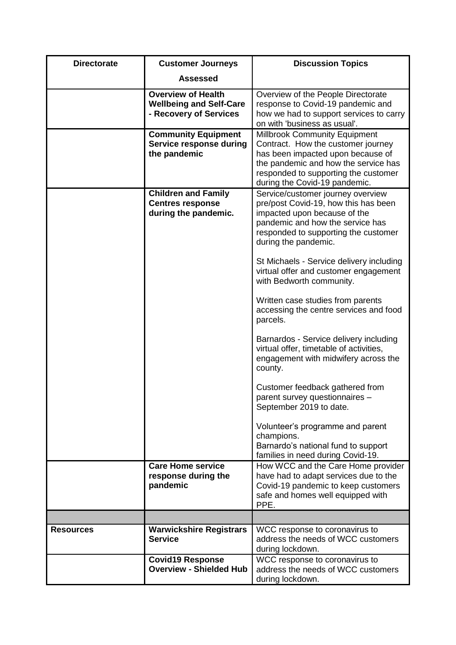| <b>Directorate</b> | <b>Customer Journeys</b>                                                              | <b>Discussion Topics</b>                                                                                                                                                                                                                                                                                                                                                                                                                                                                                                                                                                                                                                                                                                                                   |
|--------------------|---------------------------------------------------------------------------------------|------------------------------------------------------------------------------------------------------------------------------------------------------------------------------------------------------------------------------------------------------------------------------------------------------------------------------------------------------------------------------------------------------------------------------------------------------------------------------------------------------------------------------------------------------------------------------------------------------------------------------------------------------------------------------------------------------------------------------------------------------------|
|                    | <b>Assessed</b>                                                                       |                                                                                                                                                                                                                                                                                                                                                                                                                                                                                                                                                                                                                                                                                                                                                            |
|                    | <b>Overview of Health</b><br><b>Wellbeing and Self-Care</b><br>- Recovery of Services | Overview of the People Directorate<br>response to Covid-19 pandemic and<br>how we had to support services to carry<br>on with 'business as usual'.                                                                                                                                                                                                                                                                                                                                                                                                                                                                                                                                                                                                         |
|                    | <b>Community Equipment</b><br>Service response during<br>the pandemic                 | <b>Millbrook Community Equipment</b><br>Contract. How the customer journey<br>has been impacted upon because of<br>the pandemic and how the service has<br>responded to supporting the customer<br>during the Covid-19 pandemic.                                                                                                                                                                                                                                                                                                                                                                                                                                                                                                                           |
|                    | <b>Children and Family</b><br><b>Centres response</b><br>during the pandemic.         | Service/customer journey overview<br>pre/post Covid-19, how this has been<br>impacted upon because of the<br>pandemic and how the service has<br>responded to supporting the customer<br>during the pandemic.<br>St Michaels - Service delivery including<br>virtual offer and customer engagement<br>with Bedworth community.<br>Written case studies from parents<br>accessing the centre services and food<br>parcels.<br>Barnardos - Service delivery including<br>virtual offer, timetable of activities,<br>engagement with midwifery across the<br>county.<br>Customer feedback gathered from<br>parent survey questionnaires -<br>September 2019 to date.<br>Volunteer's programme and parent<br>champions.<br>Barnardo's national fund to support |
|                    | <b>Care Home service</b><br>response during the<br>pandemic                           | families in need during Covid-19.<br>How WCC and the Care Home provider<br>have had to adapt services due to the<br>Covid-19 pandemic to keep customers<br>safe and homes well equipped with<br>PPE.                                                                                                                                                                                                                                                                                                                                                                                                                                                                                                                                                       |
|                    |                                                                                       |                                                                                                                                                                                                                                                                                                                                                                                                                                                                                                                                                                                                                                                                                                                                                            |
| <b>Resources</b>   | <b>Warwickshire Registrars</b><br><b>Service</b>                                      | WCC response to coronavirus to<br>address the needs of WCC customers<br>during lockdown.                                                                                                                                                                                                                                                                                                                                                                                                                                                                                                                                                                                                                                                                   |
|                    | <b>Covid19 Response</b><br><b>Overview - Shielded Hub</b>                             | WCC response to coronavirus to<br>address the needs of WCC customers<br>during lockdown.                                                                                                                                                                                                                                                                                                                                                                                                                                                                                                                                                                                                                                                                   |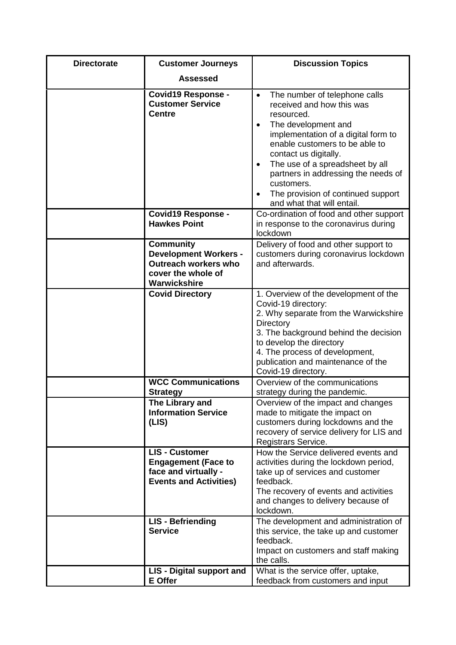| <b>Directorate</b> | <b>Customer Journeys</b>                                                                                              | <b>Discussion Topics</b>                                                                                                                                                                                                                                                                                                                                                                             |
|--------------------|-----------------------------------------------------------------------------------------------------------------------|------------------------------------------------------------------------------------------------------------------------------------------------------------------------------------------------------------------------------------------------------------------------------------------------------------------------------------------------------------------------------------------------------|
|                    | <b>Assessed</b>                                                                                                       |                                                                                                                                                                                                                                                                                                                                                                                                      |
|                    | <b>Covid19 Response -</b><br><b>Customer Service</b><br><b>Centre</b>                                                 | The number of telephone calls<br>$\bullet$<br>received and how this was<br>resourced.<br>The development and<br>$\bullet$<br>implementation of a digital form to<br>enable customers to be able to<br>contact us digitally.<br>The use of a spreadsheet by all<br>$\bullet$<br>partners in addressing the needs of<br>customers.<br>The provision of continued support<br>and what that will entail. |
|                    | <b>Covid19 Response -</b><br><b>Hawkes Point</b>                                                                      | Co-ordination of food and other support<br>in response to the coronavirus during<br>lockdown                                                                                                                                                                                                                                                                                                         |
|                    | <b>Community</b><br><b>Development Workers -</b><br><b>Outreach workers who</b><br>cover the whole of<br>Warwickshire | Delivery of food and other support to<br>customers during coronavirus lockdown<br>and afterwards.                                                                                                                                                                                                                                                                                                    |
|                    | <b>Covid Directory</b>                                                                                                | 1. Overview of the development of the<br>Covid-19 directory:<br>2. Why separate from the Warwickshire<br>Directory<br>3. The background behind the decision<br>to develop the directory<br>4. The process of development,<br>publication and maintenance of the<br>Covid-19 directory.                                                                                                               |
|                    | <b>WCC Communications</b><br><b>Strategy</b>                                                                          | Overview of the communications<br>strategy during the pandemic.                                                                                                                                                                                                                                                                                                                                      |
|                    | The Library and<br><b>Information Service</b><br>(LIS)                                                                | Overview of the impact and changes<br>made to mitigate the impact on<br>customers during lockdowns and the<br>recovery of service delivery for LIS and<br>Registrars Service.                                                                                                                                                                                                                        |
|                    | <b>LIS - Customer</b><br><b>Engagement (Face to</b><br>face and virtually -<br><b>Events and Activities)</b>          | How the Service delivered events and<br>activities during the lockdown period,<br>take up of services and customer<br>feedback.<br>The recovery of events and activities<br>and changes to delivery because of<br>lockdown.                                                                                                                                                                          |
|                    | <b>LIS - Befriending</b><br><b>Service</b>                                                                            | The development and administration of<br>this service, the take up and customer<br>feedback.<br>Impact on customers and staff making<br>the calls.                                                                                                                                                                                                                                                   |
|                    | <b>LIS - Digital support and</b><br><b>E</b> Offer                                                                    | What is the service offer, uptake,<br>feedback from customers and input                                                                                                                                                                                                                                                                                                                              |